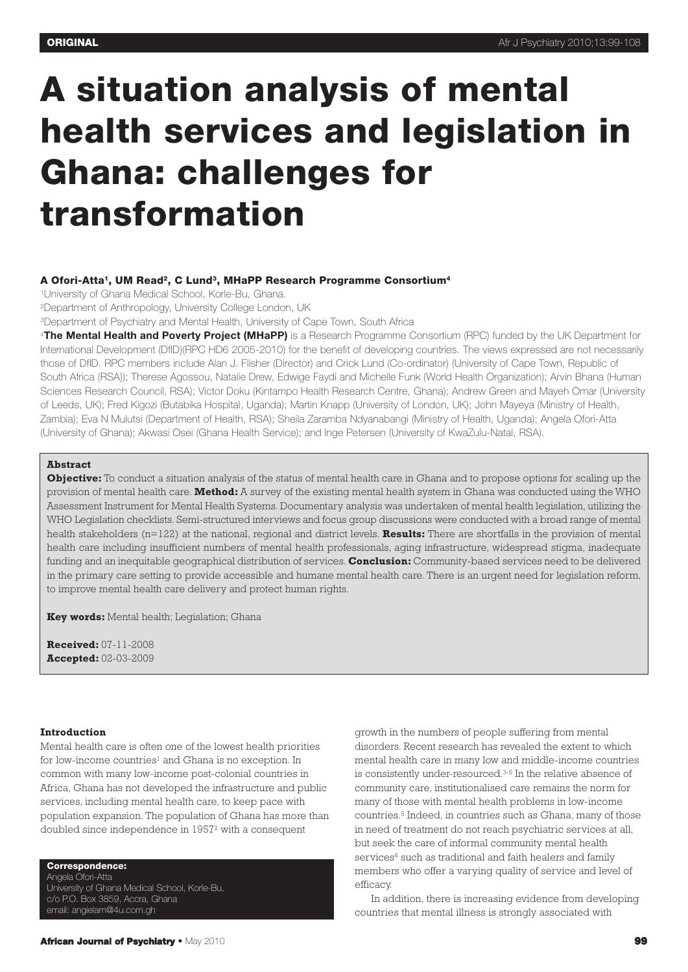# **A situation analysis of mental health services and legislation in Ghana: challenges for transformation**

# **A Ofori-Atta1, UM Read2, C Lund3, MHaPP Research Programme Consortium4**

1University of Ghana Medical School, Korle-Bu, Ghana.

2Department of Anthropology, University College London, UK

3Department of Psychiatry and Mental Health, University of Cape Town, South Africa

<sup>4</sup>**The Mental Health and Poverty Project (MHaPP)** is a Research Programme Consortium (RPC) funded by the UK Department for International Development (DfID)(RPC HD6 2005-2010) for the benefit of developing countries. The views expressed are not necessarily those of DfID. RPC members include Alan J. Flisher (Director) and Crick Lund (Co-ordinator) (University of Cape Town, Republic of South Africa (RSA)); Therese Agossou, Natalie Drew, Edwige Faydi and Michelle Funk (World Health Organization); Arvin Bhana (Human Sciences Research Council, RSA); Victor Doku (Kintampo Health Research Centre, Ghana); Andrew Green and Mayeh Omar (University of Leeds, UK); Fred Kigozi (Butabika Hospital, Uganda); Martin Knapp (University of London, UK); John Mayeya (Ministry of Health, Zambia); Eva N Mulutsi (Department of Health, RSA); Sheila Zaramba Ndyanabangi (Ministry of Health, Uganda); Angela Ofori-Atta (University of Ghana); Akwasi Osei (Ghana Health Service); and Inge Petersen (University of KwaZulu-Natal, RSA).

# **Abstract**

**Objective:** To conduct a situation analysis of the status of mental health care in Ghana and to propose options for scaling up the provision of mental health care. **Method:** A survey of the existing mental health system in Ghana was conducted using the WHO Assessment Instrument for Mental Health Systems. Documentary analysis was undertaken of mental health legislation, utilizing the WHO Legislation checklists. Semi-structured interviews and focus group discussions were conducted with a broad range of mental health stakeholders (n=122) at the national, regional and district levels. **Results:** There are shortfalls in the provision of mental health care including insufficient numbers of mental health professionals, aging infrastructure, widespread stigma, inadequate funding and an inequitable geographical distribution of services. **Conclusion:** Community-based services need to be delivered in the primary care setting to provide accessible and humane mental health care. There is an urgent need for legislation reform, to improve mental health care delivery and protect human rights.

**Key words:** Mental health; Legislation; Ghana

**Received:** 07-11-2008 **Accepted:** 02-03-2009

# **Introduction**

Mental health care is often one of the lowest health priorities for low-income countries<sup>1</sup> and Ghana is no exception. In common with many low-income post-colonial countries in Africa, Ghana has not developed the infrastructure and public services, including mental health care, to keep pace with population expansion. The population of Ghana has more than doubled since independence in 19572 with a consequent

**Correspondence:**

Angela Ofori-Atta University of Ghana Medical School, Korle-Bu, c/o P.O. Box 3859, Accra, Ghana email: angielam@4u.com.gh

growth in the numbers of people suffering from mental disorders. Recent research has revealed the extent to which mental health care in many low and middle-income countries is consistently under-resourced.<sup>3-5</sup> In the relative absence of community care, institutionalised care remains the norm for many of those with mental health problems in low-income countries. <sup>5</sup> Indeed, in countries such as Ghana, many of those in need of treatment do not reach psychiatric services at all, but seek the care of informal community mental health services<sup>6</sup> such as traditional and faith healers and family members who offer a varying quality of service and level of efficacy.

In addition, there is increasing evidence from developing countries that mental illness is strongly associated with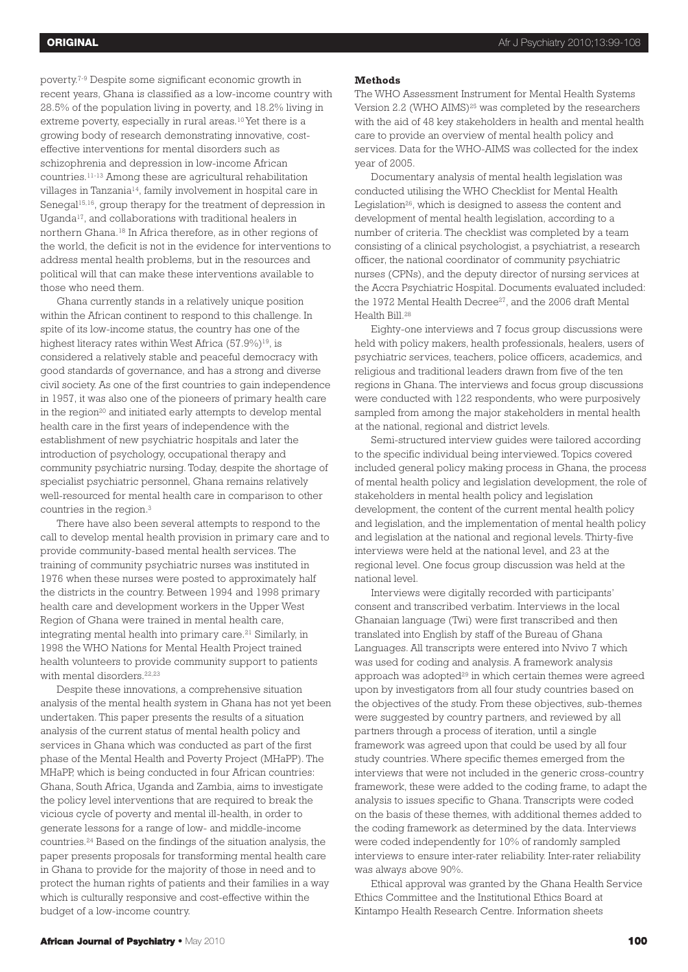poverty. 7-9 Despite some significant economic growth in recent years, Ghana is classified as a low-income country with 28.5% of the population living in poverty, and 18.2% living in extreme poverty, especially in rural areas. <sup>10</sup> Yet there is a growing body of research demonstrating innovative, costeffective interventions for mental disorders such as schizophrenia and depression in low-income African countries. 11-13 Among these are agricultural rehabilitation villages in Tanzania14, family involvement in hospital care in Senegal<sup>15,16</sup>, group therapy for the treatment of depression in Uganda17, and collaborations with traditional healers in northern Ghana. <sup>18</sup> In Africa therefore, as in other regions of the world, the deficit is not in the evidence for interventions to address mental health problems, but in the resources and political will that can make these interventions available to those who need them.

Ghana currently stands in a relatively unique position within the African continent to respond to this challenge. In spite of its low-income status, the country has one of the highest literacy rates within West Africa (57.9%)<sup>19</sup>, is considered a relatively stable and peaceful democracy with good standards of governance, and has a strong and diverse civil society. As one of the first countries to gain independence in 1957, it was also one of the pioneers of primary health care in the region<sup>20</sup> and initiated early attempts to develop mental health care in the first years of independence with the establishment of new psychiatric hospitals and later the introduction of psychology, occupational therapy and community psychiatric nursing. Today, despite the shortage of specialist psychiatric personnel, Ghana remains relatively well-resourced for mental health care in comparison to other countries in the region. 3

There have also been several attempts to respond to the call to develop mental health provision in primary care and to provide community-based mental health services. The training of community psychiatric nurses was instituted in 1976 when these nurses were posted to approximately half the districts in the country. Between 1994 and 1998 primary health care and development workers in the Upper West Region of Ghana were trained in mental health care, integrating mental health into primary care. <sup>21</sup> Similarly, in 1998 the WHO Nations for Mental Health Project trained health volunteers to provide community support to patients with mental disorders. 22,23

Despite these innovations, a comprehensive situation analysis of the mental health system in Ghana has not yet been undertaken. This paper presents the results of a situation analysis of the current status of mental health policy and services in Ghana which was conducted as part of the first phase of the Mental Health and Poverty Project (MHaPP). The MHaPP, which is being conducted in four African countries: Ghana, South Africa, Uganda and Zambia, aims to investigate the policy level interventions that are required to break the vicious cycle of poverty and mental ill-health, in order to generate lessons for a range of low- and middle-income countries. <sup>24</sup> Based on the findings of the situation analysis, the paper presents proposals for transforming mental health care in Ghana to provide for the majority of those in need and to protect the human rights of patients and their families in a way which is culturally responsive and cost-effective within the budget of a low-income country.

#### **Methods**

The WHO Assessment Instrument for Mental Health Systems Version 2.2 (WHO AIMS)<sup>25</sup> was completed by the researchers with the aid of 48 key stakeholders in health and mental health care to provide an overview of mental health policy and services. Data for the WHO-AIMS was collected for the index year of 2005.

Documentary analysis of mental health legislation was conducted utilising the WHO Checklist for Mental Health Legislation<sup>26</sup>, which is designed to assess the content and development of mental health legislation, according to a number of criteria. The checklist was completed by a team consisting of a clinical psychologist, a psychiatrist, a research officer, the national coordinator of community psychiatric nurses (CPNs), and the deputy director of nursing services at the Accra Psychiatric Hospital. Documents evaluated included: the 1972 Mental Health Decree<sup>27</sup>, and the 2006 draft Mental Health Bill. 28

Eighty-one interviews and 7 focus group discussions were held with policy makers, health professionals, healers, users of psychiatric services, teachers, police officers, academics, and religious and traditional leaders drawn from five of the ten regions in Ghana. The interviews and focus group discussions were conducted with 122 respondents, who were purposively sampled from among the major stakeholders in mental health at the national, regional and district levels.

Semi-structured interview guides were tailored according to the specific individual being interviewed. Topics covered included general policy making process in Ghana, the process of mental health policy and legislation development, the role of stakeholders in mental health policy and legislation development, the content of the current mental health policy and legislation, and the implementation of mental health policy and legislation at the national and regional levels. Thirty-five interviews were held at the national level, and 23 at the regional level. One focus group discussion was held at the national level.

Interviews were digitally recorded with participants' consent and transcribed verbatim. Interviews in the local Ghanaian language (Twi) were first transcribed and then translated into English by staff of the Bureau of Ghana Languages. All transcripts were entered into Nvivo 7 which was used for coding and analysis. A framework analysis approach was adopted<sup>29</sup> in which certain themes were agreed upon by investigators from all four study countries based on the objectives of the study. From these objectives, sub-themes were suggested by country partners, and reviewed by all partners through a process of iteration, until a single framework was agreed upon that could be used by all four study countries. Where specific themes emerged from the interviews that were not included in the generic cross-country framework, these were added to the coding frame, to adapt the analysis to issues specific to Ghana. Transcripts were coded on the basis of these themes, with additional themes added to the coding framework as determined by the data. Interviews were coded independently for 10% of randomly sampled interviews to ensure inter-rater reliability. Inter-rater reliability was always above 90%.

Ethical approval was granted by the Ghana Health Service Ethics Committee and the Institutional Ethics Board at Kintampo Health Research Centre. Information sheets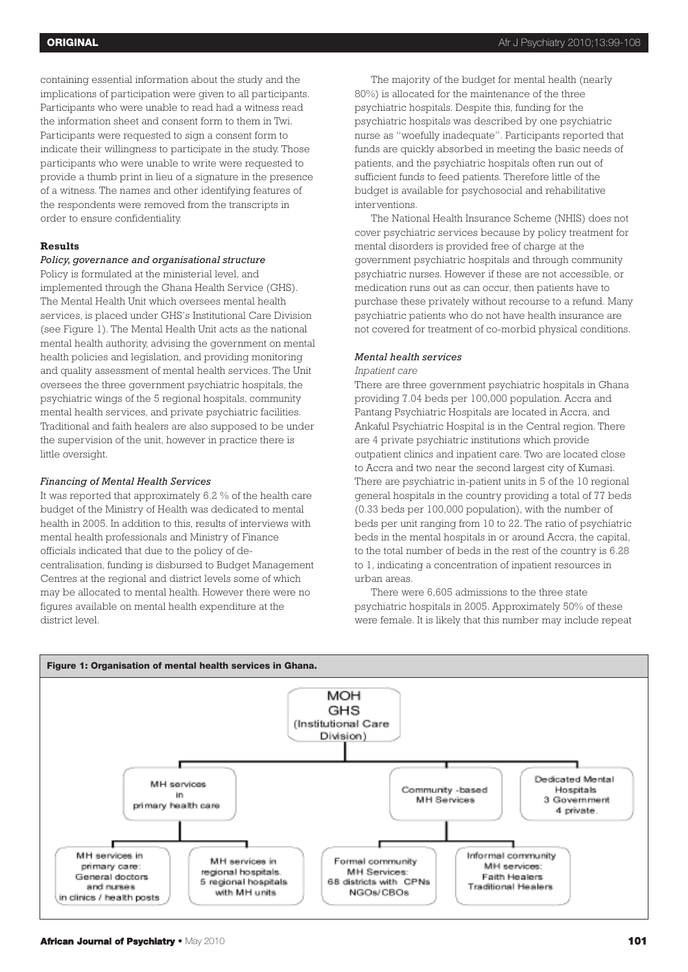containing essential information about the study and the implications of participation were given to all participants. Participants who were unable to read had a witness read the information sheet and consent form to them in Twi. Participants were requested to sign a consent form to indicate their willingness to participate in the study. Those participants who were unable to write were requested to provide a thumb print in lieu of a signature in the presence of a witness. The names and other identifying features of the respondents were removed from the transcripts in order to ensure confidentiality.

# **Results**

# *Policy, governance and organisational structure*

Policy is formulated at the ministerial level, and implemented through the Ghana Health Service (GHS). The Mental Health Unit which oversees mental health services, is placed under GHS's Institutional Care Division (see Figure 1). The Mental Health Unit acts as the national mental health authority, advising the government on mental health policies and legislation, and providing monitoring and quality assessment of mental health services. The Unit oversees the three government psychiatric hospitals, the psychiatric wings of the 5 regional hospitals, community mental health services, and private psychiatric facilities. Traditional and faith healers are also supposed to be under the supervision of the unit, however in practice there is little oversight.

#### *Financing of Mental Health Services*

It was reported that approximately 6.2 % of the health care budget of the Ministry of Health was dedicated to mental health in 2005. In addition to this, results of interviews with mental health professionals and Ministry of Finance officials indicated that due to the policy of decentralisation, funding is disbursed to Budget Management Centres at the regional and district levels some of which may be allocated to mental health. However there were no figures available on mental health expenditure at the district level.

The majority of the budget for mental health (nearly 80%) is allocated for the maintenance of the three psychiatric hospitals. Despite this, funding for the psychiatric hospitals was described by one psychiatric nurse as "woefully inadequate". Participants reported that funds are quickly absorbed in meeting the basic needs of patients, and the psychiatric hospitals often run out of sufficient funds to feed patients. Therefore little of the budget is available for psychosocial and rehabilitative interventions.

The National Health Insurance Scheme (NHIS) does not cover psychiatric services because by policy treatment for mental disorders is provided free of charge at the government psychiatric hospitals and through community psychiatric nurses. However if these are not accessible, or medication runs out as can occur, then patients have to purchase these privately without recourse to a refund. Many psychiatric patients who do not have health insurance are not covered for treatment of co-morbid physical conditions.

#### *Mental health services*

#### *Inpatient care*

There are three government psychiatric hospitals in Ghana providing 7.04 beds per 100,000 population. Accra and Pantang Psychiatric Hospitals are located in Accra, and Ankaful Psychiatric Hospital is in the Central region. There are 4 private psychiatric institutions which provide outpatient clinics and inpatient care. Two are located close to Accra and two near the second largest city of Kumasi. There are psychiatric in-patient units in 5 of the 10 regional general hospitals in the country providing a total of 77 beds (0.33 beds per 100,000 population), with the number of beds per unit ranging from 10 to 22. The ratio of psychiatric beds in the mental hospitals in or around Accra, the capital, to the total number of beds in the rest of the country is 6.28 to 1, indicating a concentration of inpatient resources in urban areas.

There were 6,605 admissions to the three state psychiatric hospitals in 2005. Approximately 50% of these were female. It is likely that this number may include repeat

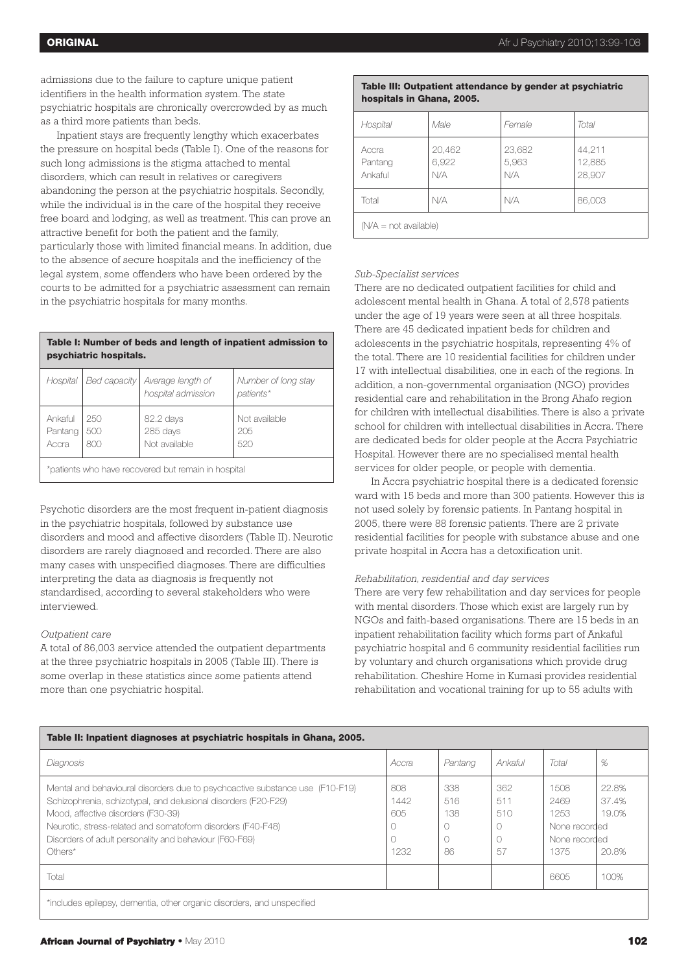admissions due to the failure to capture unique patient identifiers in the health information system. The state psychiatric hospitals are chronically overcrowded by as much as a third more patients than beds.

Inpatient stays are frequently lengthy which exacerbates the pressure on hospital beds (Table I). One of the reasons for such long admissions is the stigma attached to mental disorders, which can result in relatives or caregivers abandoning the person at the psychiatric hospitals. Secondly, while the individual is in the care of the hospital they receive free board and lodging, as well as treatment. This can prove an attractive benefit for both the patient and the family, particularly those with limited financial means. In addition, due to the absence of secure hospitals and the inefficiency of the legal system, some offenders who have been ordered by the courts to be admitted for a psychiatric assessment can remain in the psychiatric hospitals for many months.

# **Table I: Number of beds and length of inpatient admission to psychiatric hospitals.**

| Hospital                                            | Bed capacity      | Average length of<br>hospital admission | Number of long stay<br>patients* |  |  |  |  |
|-----------------------------------------------------|-------------------|-----------------------------------------|----------------------------------|--|--|--|--|
| Ankaful<br>Pantang<br>Accra                         | 250<br>500<br>800 | 82.2 days<br>285 days<br>Not available  | Not available<br>205<br>520      |  |  |  |  |
| *patients who have recovered but remain in hospital |                   |                                         |                                  |  |  |  |  |

Psychotic disorders are the most frequent in-patient diagnosis in the psychiatric hospitals, followed by substance use disorders and mood and affective disorders (Table II). Neurotic disorders are rarely diagnosed and recorded. There are also many cases with unspecified diagnoses. There are difficulties interpreting the data as diagnosis is frequently not standardised, according to several stakeholders who were interviewed.

#### *Outpatient care*

A total of 86,003 service attended the outpatient departments at the three psychiatric hospitals in 2005 (Table III). There is some overlap in these statistics since some patients attend more than one psychiatric hospital.

| nospitais in unana, zuub.   |                        |                        |                            |  |  |  |  |  |
|-----------------------------|------------------------|------------------------|----------------------------|--|--|--|--|--|
| Hospital                    | Male                   | Female                 | Total                      |  |  |  |  |  |
| Accra<br>Pantang<br>Ankaful | 20,462<br>6,922<br>N/A | 23,682<br>5,963<br>N/A | 44,211<br>12,885<br>28,907 |  |  |  |  |  |
| Total                       | N/A                    | N/A                    | 86,003                     |  |  |  |  |  |
| $(N/A = not available)$     |                        |                        |                            |  |  |  |  |  |

## **Table III: Outpatient attendance by gender at psychiatric hospitals in Ghana, 2005.**

## *Sub-Specialist services*

There are no dedicated outpatient facilities for child and adolescent mental health in Ghana. A total of 2,578 patients under the age of 19 years were seen at all three hospitals. There are 45 dedicated inpatient beds for children and adolescents in the psychiatric hospitals, representing 4% of the total. There are 10 residential facilities for children under 17 with intellectual disabilities, one in each of the regions. In addition, a non-governmental organisation (NGO) provides residential care and rehabilitation in the Brong Ahafo region for children with intellectual disabilities. There is also a private school for children with intellectual disabilities in Accra. There are dedicated beds for older people at the Accra Psychiatric Hospital. However there are no specialised mental health services for older people, or people with dementia.

In Accra psychiatric hospital there is a dedicated forensic ward with 15 beds and more than 300 patients. However this is not used solely by forensic patients. In Pantang hospital in 2005, there were 88 forensic patients. There are 2 private residential facilities for people with substance abuse and one private hospital in Accra has a detoxification unit.

#### *Rehabilitation, residential and day services*

There are very few rehabilitation and day services for people with mental disorders. Those which exist are largely run by NGOs and faith-based organisations. There are 15 beds in an inpatient rehabilitation facility which forms part of Ankaful psychiatric hospital and 6 community residential facilities run by voluntary and church organisations which provide drug rehabilitation. Cheshire Home in Kumasi provides residential rehabilitation and vocational training for up to 55 adults with

| Table II: Inpatient diagnoses at psychiatric hospitals in Ghana, 2005.                                                                                                                                                                                                                                                   |                            |                         |                         |                                                                |                                  |  |  |  |
|--------------------------------------------------------------------------------------------------------------------------------------------------------------------------------------------------------------------------------------------------------------------------------------------------------------------------|----------------------------|-------------------------|-------------------------|----------------------------------------------------------------|----------------------------------|--|--|--|
| Diagnosis                                                                                                                                                                                                                                                                                                                | Accra                      | Pantang                 | Ankaful                 | Total                                                          | %                                |  |  |  |
| Mental and behavioural disorders due to psychoactive substance use (F10-F19)<br>Schizophrenia, schizotypal, and delusional disorders (F20-F29)<br>Mood, affective disorders (F30-39)<br>Neurotic, stress-related and somatoform disorders (F40-F48)<br>Disorders of adult personality and behaviour (F60-F69)<br>Others* | 808<br>1442<br>605<br>1232 | 338<br>516<br>138<br>86 | 362<br>511<br>510<br>57 | 1508<br>2469<br>1253<br>None recorded<br>None recorded<br>1375 | 22.8%<br>37.4%<br>19.0%<br>20.8% |  |  |  |
| Total                                                                                                                                                                                                                                                                                                                    |                            |                         |                         | 6605                                                           | 100%                             |  |  |  |
| tipoludes epilepeu dementie, ether ergenie diserdere, and upprecified                                                                                                                                                                                                                                                    |                            |                         |                         |                                                                |                                  |  |  |  |

\*includes epilepsy, dementia, other organic disorders, and unspecified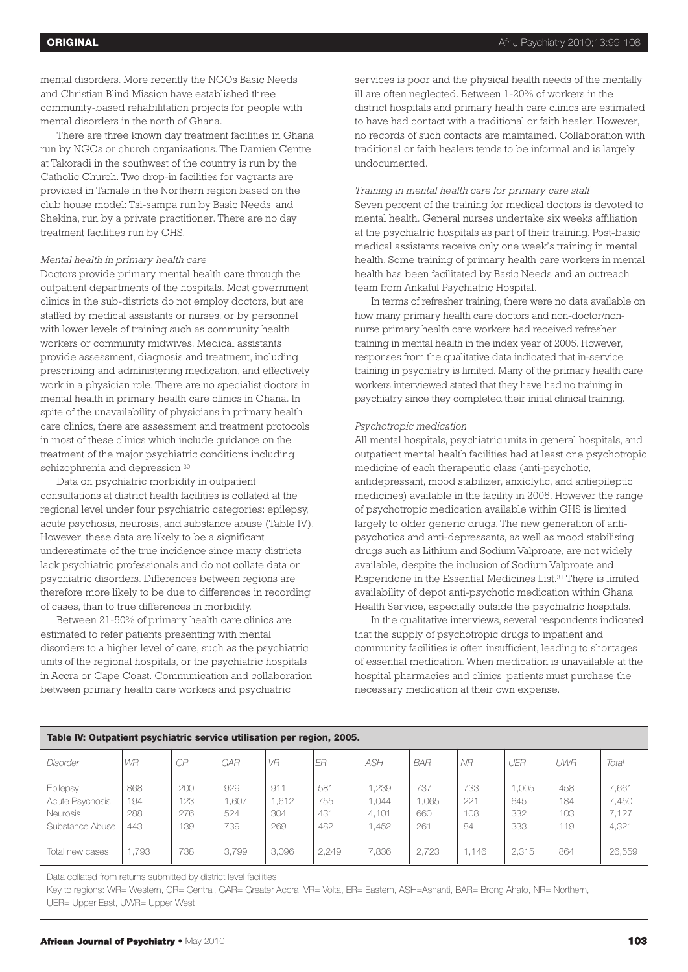mental disorders. More recently the NGOs Basic Needs and Christian Blind Mission have established three community-based rehabilitation projects for people with mental disorders in the north of Ghana.

There are three known day treatment facilities in Ghana run by NGOs or church organisations. The Damien Centre at Takoradi in the southwest of the country is run by the Catholic Church. Two drop-in facilities for vagrants are provided in Tamale in the Northern region based on the club house model: Tsi-sampa run by Basic Needs, and Shekina, run by a private practitioner. There are no day treatment facilities run by GHS.

## *Mental health in primary health care*

Doctors provide primary mental health care through the outpatient departments of the hospitals. Most government clinics in the sub-districts do not employ doctors, but are staffed by medical assistants or nurses, or by personnel with lower levels of training such as community health workers or community midwives. Medical assistants provide assessment, diagnosis and treatment, including prescribing and administering medication, and effectively work in a physician role. There are no specialist doctors in mental health in primary health care clinics in Ghana. In spite of the unavailability of physicians in primary health care clinics, there are assessment and treatment protocols in most of these clinics which include guidance on the treatment of the major psychiatric conditions including schizophrenia and depression. 30

Data on psychiatric morbidity in outpatient consultations at district health facilities is collated at the regional level under four psychiatric categories: epilepsy, acute psychosis, neurosis, and substance abuse (Table IV). However, these data are likely to be a significant underestimate of the true incidence since many districts lack psychiatric professionals and do not collate data on psychiatric disorders. Differences between regions are therefore more likely to be due to differences in recording of cases, than to true differences in morbidity.

Between 21-50% of primary health care clinics are estimated to refer patients presenting with mental disorders to a higher level of care, such as the psychiatric units of the regional hospitals, or the psychiatric hospitals in Accra or Cape Coast. Communication and collaboration between primary health care workers and psychiatric

services is poor and the physical health needs of the mentally ill are often neglected. Between 1-20% of workers in the district hospitals and primary health care clinics are estimated to have had contact with a traditional or faith healer. However, no records of such contacts are maintained. Collaboration with traditional or faith healers tends to be informal and is largely undocumented.

*Training in mental health care for primary care staff* Seven percent of the training for medical doctors is devoted to mental health. General nurses undertake six weeks affiliation at the psychiatric hospitals as part of their training. Post-basic medical assistants receive only one week's training in mental health. Some training of primary health care workers in mental health has been facilitated by Basic Needs and an outreach team from Ankaful Psychiatric Hospital.

In terms of refresher training, there were no data available on how many primary health care doctors and non-doctor/nonnurse primary health care workers had received refresher training in mental health in the index year of 2005. However, responses from the qualitative data indicated that in-service training in psychiatry is limited. Many of the primary health care workers interviewed stated that they have had no training in psychiatry since they completed their initial clinical training.

### *Psychotropic medication*

All mental hospitals, psychiatric units in general hospitals, and outpatient mental health facilities had at least one psychotropic medicine of each therapeutic class (anti-psychotic, antidepressant, mood stabilizer, anxiolytic, and antiepileptic medicines) available in the facility in 2005. However the range of psychotropic medication available within GHS is limited largely to older generic drugs. The new generation of antipsychotics and anti-depressants, as well as mood stabilising drugs such as Lithium and Sodium Valproate, are not widely available, despite the inclusion of Sodium Valproate and Risperidone in the Essential Medicines List. <sup>31</sup> There is limited availability of depot anti-psychotic medication within Ghana Health Service, especially outside the psychiatric hospitals.

In the qualitative interviews, several respondents indicated that the supply of psychotropic drugs to inpatient and community facilities is often insufficient, leading to shortages of essential medication. When medication is unavailable at the hospital pharmacies and clinics, patients must purchase the necessary medication at their own expense.

| Table IV: Outpatient psychiatric service utilisation per region, 2005. |                          |                          |                           |                           |                          |                               |                            |                         |                           |                          |                                  |
|------------------------------------------------------------------------|--------------------------|--------------------------|---------------------------|---------------------------|--------------------------|-------------------------------|----------------------------|-------------------------|---------------------------|--------------------------|----------------------------------|
| Disorder                                                               | WR                       | <b>CR</b>                | GAR                       | VR                        | ER                       | . ASH                         | <b>BAR</b>                 | NR.                     | UER                       | <b>UWR</b>               | Total                            |
| Epilepsy<br>Acute Psychosis<br><b>Neurosis</b><br>Substance Abuse      | 868<br>194<br>288<br>443 | 200<br>123<br>276<br>139 | 929<br>.607<br>524<br>739 | 911<br>.612<br>304<br>269 | 581<br>755<br>431<br>482 | ,239<br>.044<br>4.101<br>.452 | 737<br>1,065<br>660<br>261 | 733<br>221<br>108<br>84 | ,005<br>645<br>332<br>333 | 458<br>184<br>103<br>119 | 7,661<br>7,450<br>7,127<br>4,321 |
| Total new cases                                                        | 1.793                    | 738                      | 3.799                     | 3.096                     | 2.249                    | 7.836                         | 2.723                      | .146                    | 2,315                     | 864                      | 26,559                           |

Data collated from returns submitted by district level facilities.

Key to regions: WR= Western, CR= Central, GAR= Greater Accra, VR= Volta, ER= Eastern, ASH=Ashanti, BAR= Brong Ahafo, NR= Northern, UER= Upper East, UWR= Upper West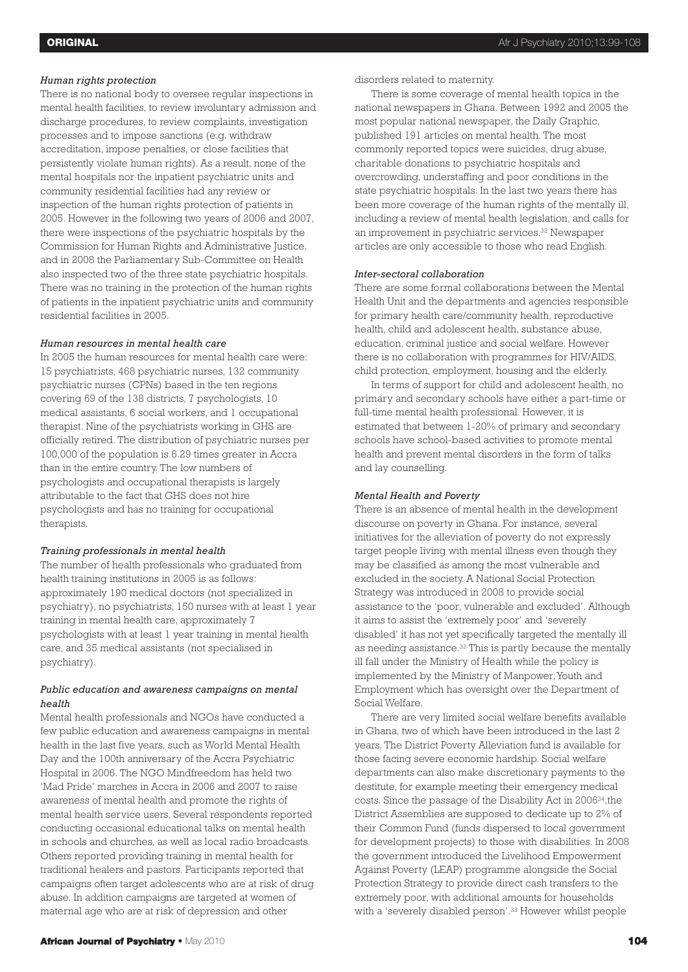## *Human rights protection*

There is no national body to oversee regular inspections in mental health facilities, to review involuntary admission and discharge procedures, to review complaints, investigation processes and to impose sanctions (e.g. withdraw accreditation, impose penalties, or close facilities that persistently violate human rights). As a result, none of the mental hospitals nor the inpatient psychiatric units and community residential facilities had any review or inspection of the human rights protection of patients in 2005. However in the following two years of 2006 and 2007, there were inspections of the psychiatric hospitals by the Commission for Human Rights and Administrative Justice, and in 2008 the Parliamentary Sub-Committee on Health also inspected two of the three state psychiatric hospitals. There was no training in the protection of the human rights of patients in the inpatient psychiatric units and community residential facilities in 2005.

#### *Human resources in mental health care*

In 2005 the human resources for mental health care were: 15 psychiatrists, 468 psychiatric nurses, 132 community psychiatric nurses (CPNs) based in the ten regions covering 69 of the 138 districts, 7 psychologists, 10 medical assistants, 6 social workers, and 1 occupational therapist. Nine of the psychiatrists working in GHS are officially retired. The distribution of psychiatric nurses per 100,000 of the population is 6.29 times greater in Accra than in the entire country. The low numbers of psychologists and occupational therapists is largely attributable to the fact that GHS does not hire psychologists and has no training for occupational therapists.

#### *Training professionals in mental health*

The number of health professionals who graduated from health training institutions in 2005 is as follows: approximately 190 medical doctors (not specialized in psychiatry), no psychiatrists, 150 nurses with at least 1 year training in mental health care, approximately 7 psychologists with at least 1 year training in mental health care, and 35 medical assistants (not specialised in psychiatry).

# *Public education and awareness campaigns on mental health*

Mental health professionals and NGOs have conducted a few public education and awareness campaigns in mental health in the last five years, such as World Mental Health Day and the 100th anniversary of the Accra Psychiatric Hospital in 2006. The NGO Mindfreedom has held two 'Mad Pride' marches in Accra in 2006 and 2007 to raise awareness of mental health and promote the rights of mental health service users. Several respondents reported conducting occasional educational talks on mental health in schools and churches, as well as local radio broadcasts. Others reported providing training in mental health for traditional healers and pastors. Participants reported that campaigns often target adolescents who are at risk of drug abuse. In addition campaigns are targeted at women of maternal age who are at risk of depression and other

disorders related to maternity.

There is some coverage of mental health topics in the national newspapers in Ghana. Between 1992 and 2005 the most popular national newspaper, the Daily Graphic, published 191 articles on mental health. The most commonly reported topics were suicides, drug abuse, charitable donations to psychiatric hospitals and overcrowding, understaffing and poor conditions in the state psychiatric hospitals. In the last two years there has been more coverage of the human rights of the mentally ill, including a review of mental health legislation, and calls for an improvement in psychiatric services. <sup>32</sup> Newspaper articles are only accessible to those who read English.

### *Inter-sectoral collaboration*

There are some formal collaborations between the Mental Health Unit and the departments and agencies responsible for primary health care/community health, reproductive health, child and adolescent health, substance abuse, education, criminal justice and social welfare. However there is no collaboration with programmes for HIV/AIDS, child protection, employment, housing and the elderly.

In terms of support for child and adolescent health, no primary and secondary schools have either a part-time or full-time mental health professional. However, it is estimated that between 1-20% of primary and secondary schools have school-based activities to promote mental health and prevent mental disorders in the form of talks and lay counselling.

## *Mental Health and Poverty*

There is an absence of mental health in the development discourse on poverty in Ghana. For instance, several initiatives for the alleviation of poverty do not expressly target people living with mental illness even though they may be classified as among the most vulnerable and excluded in the society. A National Social Protection Strategy was introduced in 2008 to provide social assistance to the 'poor, vulnerable and excluded'. Although it aims to assist the 'extremely poor' and 'severely disabled' it has not yet specifically targeted the mentally ill as needing assistance. <sup>33</sup> This is partly because the mentally ill fall under the Ministry of Health while the policy is implemented by the Ministry of Manpower,Youth and Employment which has oversight over the Department of Social Welfare.

There are very limited social welfare benefits available in Ghana, two of which have been introduced in the last 2 years. The District Poverty Alleviation fund is available for those facing severe economic hardship. Social welfare departments can also make discretionary payments to the destitute, for example meeting their emergency medical costs. Since the passage of the Disability Act in 200634,the District Assemblies are supposed to dedicate up to 2% of their Common Fund (funds dispersed to local government for development projects) to those with disabilities. In 2008 the government introduced the Livelihood Empowerment Against Poverty (LEAP) programme alongside the Social Protection Strategy to provide direct cash transfers to the extremely poor, with additional amounts for households with a 'severely disabled person'. <sup>33</sup> However whilst people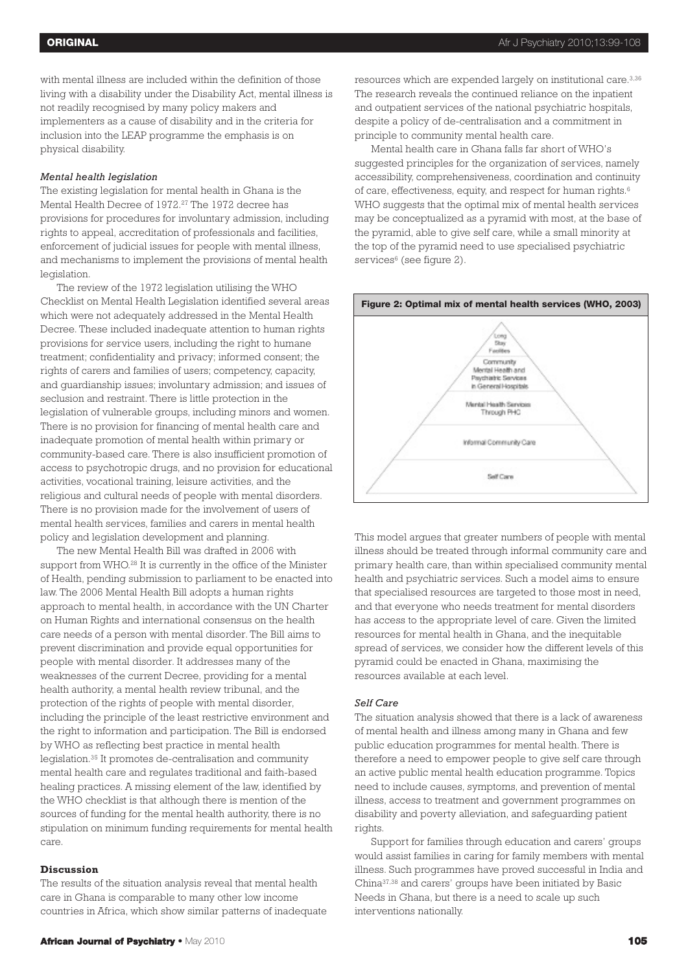with mental illness are included within the definition of those living with a disability under the Disability Act, mental illness is not readily recognised by many policy makers and implementers as a cause of disability and in the criteria for inclusion into the LEAP programme the emphasis is on physical disability.

#### *Mental health legislation*

The existing legislation for mental health in Ghana is the Mental Health Decree of 1972. <sup>27</sup> The 1972 decree has provisions for procedures for involuntary admission, including rights to appeal, accreditation of professionals and facilities, enforcement of judicial issues for people with mental illness, and mechanisms to implement the provisions of mental health legislation.

The review of the 1972 legislation utilising the WHO Checklist on Mental Health Legislation identified several areas which were not adequately addressed in the Mental Health Decree. These included inadequate attention to human rights provisions for service users, including the right to humane treatment; confidentiality and privacy; informed consent; the rights of carers and families of users; competency, capacity, and guardianship issues; involuntary admission; and issues of seclusion and restraint. There is little protection in the legislation of vulnerable groups, including minors and women. There is no provision for financing of mental health care and inadequate promotion of mental health within primary or community-based care. There is also insufficient promotion of access to psychotropic drugs, and no provision for educational activities, vocational training, leisure activities, and the religious and cultural needs of people with mental disorders. There is no provision made for the involvement of users of mental health services, families and carers in mental health policy and legislation development and planning.

The new Mental Health Bill was drafted in 2006 with support from WHO. <sup>28</sup> It is currently in the office of the Minister of Health, pending submission to parliament to be enacted into law. The 2006 Mental Health Bill adopts a human rights approach to mental health, in accordance with the UN Charter on Human Rights and international consensus on the health care needs of a person with mental disorder. The Bill aims to prevent discrimination and provide equal opportunities for people with mental disorder. It addresses many of the weaknesses of the current Decree, providing for a mental health authority, a mental health review tribunal, and the protection of the rights of people with mental disorder, including the principle of the least restrictive environment and the right to information and participation. The Bill is endorsed by WHO as reflecting best practice in mental health legislation. <sup>35</sup> It promotes de-centralisation and community mental health care and regulates traditional and faith-based healing practices. A missing element of the law, identified by the WHO checklist is that although there is mention of the sources of funding for the mental health authority, there is no stipulation on minimum funding requirements for mental health care.

# **Discussion**

The results of the situation analysis reveal that mental health care in Ghana is comparable to many other low income countries in Africa, which show similar patterns of inadequate

resources which are expended largely on institutional care.<sup>3,36</sup> The research reveals the continued reliance on the inpatient and outpatient services of the national psychiatric hospitals, despite a policy of de-centralisation and a commitment in principle to community mental health care.

Mental health care in Ghana falls far short of WHO's suggested principles for the organization of services, namely accessibility, comprehensiveness, coordination and continuity of care, effectiveness, equity, and respect for human rights.<sup>6</sup> WHO suggests that the optimal mix of mental health services may be conceptualized as a pyramid with most, at the base of the pyramid, able to give self care, while a small minority at the top of the pyramid need to use specialised psychiatric services<sup>6</sup> (see figure 2).



This model argues that greater numbers of people with mental illness should be treated through informal community care and primary health care, than within specialised community mental health and psychiatric services. Such a model aims to ensure that specialised resources are targeted to those most in need, and that everyone who needs treatment for mental disorders has access to the appropriate level of care. Given the limited resources for mental health in Ghana, and the inequitable spread of services, we consider how the different levels of this pyramid could be enacted in Ghana, maximising the resources available at each level.

# *Self Care*

The situation analysis showed that there is a lack of awareness of mental health and illness among many in Ghana and few public education programmes for mental health. There is therefore a need to empower people to give self care through an active public mental health education programme. Topics need to include causes, symptoms, and prevention of mental illness, access to treatment and government programmes on disability and poverty alleviation, and safeguarding patient rights.

Support for families through education and carers' groups would assist families in caring for family members with mental illness. Such programmes have proved successful in India and China37,38 and carers' groups have been initiated by Basic Needs in Ghana, but there is a need to scale up such interventions nationally.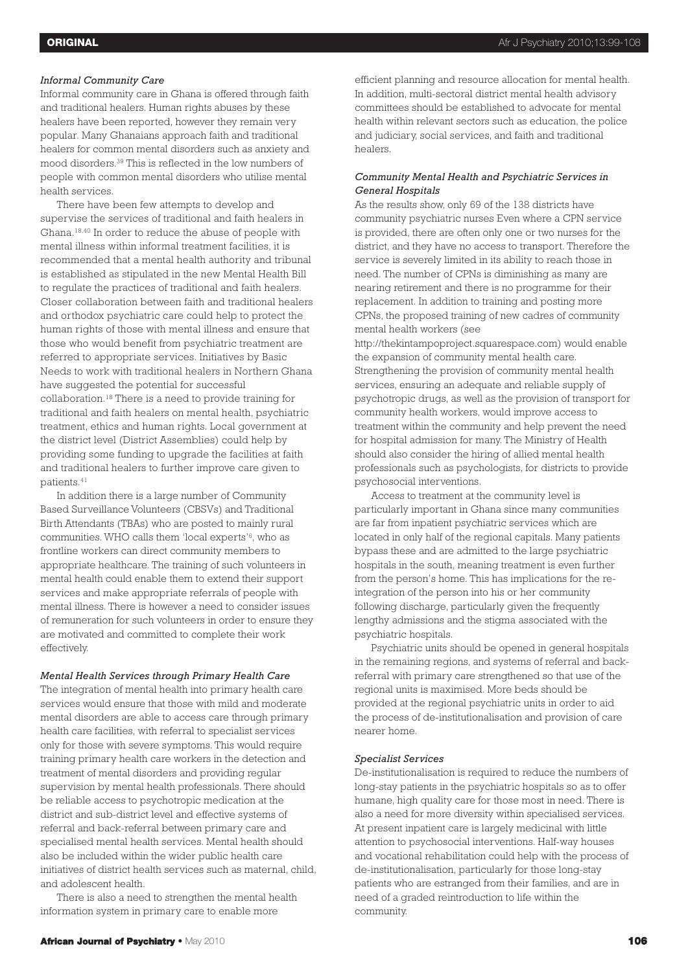# *Informal Community Care*

Informal community care in Ghana is offered through faith and traditional healers. Human rights abuses by these healers have been reported, however they remain very popular. Many Ghanaians approach faith and traditional healers for common mental disorders such as anxiety and mood disorders. <sup>39</sup> This is reflected in the low numbers of people with common mental disorders who utilise mental health services.

There have been few attempts to develop and supervise the services of traditional and faith healers in Ghana.18,40 In order to reduce the abuse of people with mental illness within informal treatment facilities, it is recommended that a mental health authority and tribunal is established as stipulated in the new Mental Health Bill to regulate the practices of traditional and faith healers. Closer collaboration between faith and traditional healers and orthodox psychiatric care could help to protect the human rights of those with mental illness and ensure that those who would benefit from psychiatric treatment are referred to appropriate services. Initiatives by Basic Needs to work with traditional healers in Northern Ghana have suggested the potential for successful collaboration.18 There is a need to provide training for traditional and faith healers on mental health, psychiatric treatment, ethics and human rights. Local government at the district level (District Assemblies) could help by providing some funding to upgrade the facilities at faith and traditional healers to further improve care given to patients.41

In addition there is a large number of Community Based Surveillance Volunteers (CBSVs) and Traditional Birth Attendants (TBAs) who are posted to mainly rural communities. WHO calls them 'local experts' 6, who as frontline workers can direct community members to appropriate healthcare. The training of such volunteers in mental health could enable them to extend their support services and make appropriate referrals of people with mental illness. There is however a need to consider issues of remuneration for such volunteers in order to ensure they are motivated and committed to complete their work effectively.

#### *Mental Health Services through Primary Health Care*

The integration of mental health into primary health care services would ensure that those with mild and moderate mental disorders are able to access care through primary health care facilities, with referral to specialist services only for those with severe symptoms. This would require training primary health care workers in the detection and treatment of mental disorders and providing regular supervision by mental health professionals. There should be reliable access to psychotropic medication at the district and sub-district level and effective systems of referral and back-referral between primary care and specialised mental health services. Mental health should also be included within the wider public health care initiatives of district health services such as maternal, child, and adolescent health.

There is also a need to strengthen the mental health information system in primary care to enable more

efficient planning and resource allocation for mental health. In addition, multi-sectoral district mental health advisory committees should be established to advocate for mental health within relevant sectors such as education, the police and judiciary, social services, and faith and traditional healers.

# *Community Mental Health and Psychiatric Services in General Hospitals*

As the results show, only 69 of the 138 districts have community psychiatric nurses Even where a CPN service is provided, there are often only one or two nurses for the district, and they have no access to transport. Therefore the service is severely limited in its ability to reach those in need. The number of CPNs is diminishing as many are nearing retirement and there is no programme for their replacement. In addition to training and posting more CPNs, the proposed training of new cadres of community mental health workers (see

http://thekintampoproject.squarespace.com) would enable the expansion of community mental health care. Strengthening the provision of community mental health services, ensuring an adequate and reliable supply of psychotropic drugs, as well as the provision of transport for community health workers, would improve access to treatment within the community and help prevent the need for hospital admission for many. The Ministry of Health should also consider the hiring of allied mental health professionals such as psychologists, for districts to provide psychosocial interventions.

Access to treatment at the community level is particularly important in Ghana since many communities are far from inpatient psychiatric services which are located in only half of the regional capitals. Many patients bypass these and are admitted to the large psychiatric hospitals in the south, meaning treatment is even further from the person's home. This has implications for the reintegration of the person into his or her community following discharge, particularly given the frequently lengthy admissions and the stigma associated with the psychiatric hospitals.

Psychiatric units should be opened in general hospitals in the remaining regions, and systems of referral and backreferral with primary care strengthened so that use of the regional units is maximised. More beds should be provided at the regional psychiatric units in order to aid the process of de-institutionalisation and provision of care nearer home.

#### *Specialist Services*

De-institutionalisation is required to reduce the numbers of long-stay patients in the psychiatric hospitals so as to offer humane, high quality care for those most in need. There is also a need for more diversity within specialised services. At present inpatient care is largely medicinal with little attention to psychosocial interventions. Half-way houses and vocational rehabilitation could help with the process of de-institutionalisation, particularly for those long-stay patients who are estranged from their families, and are in need of a graded reintroduction to life within the community.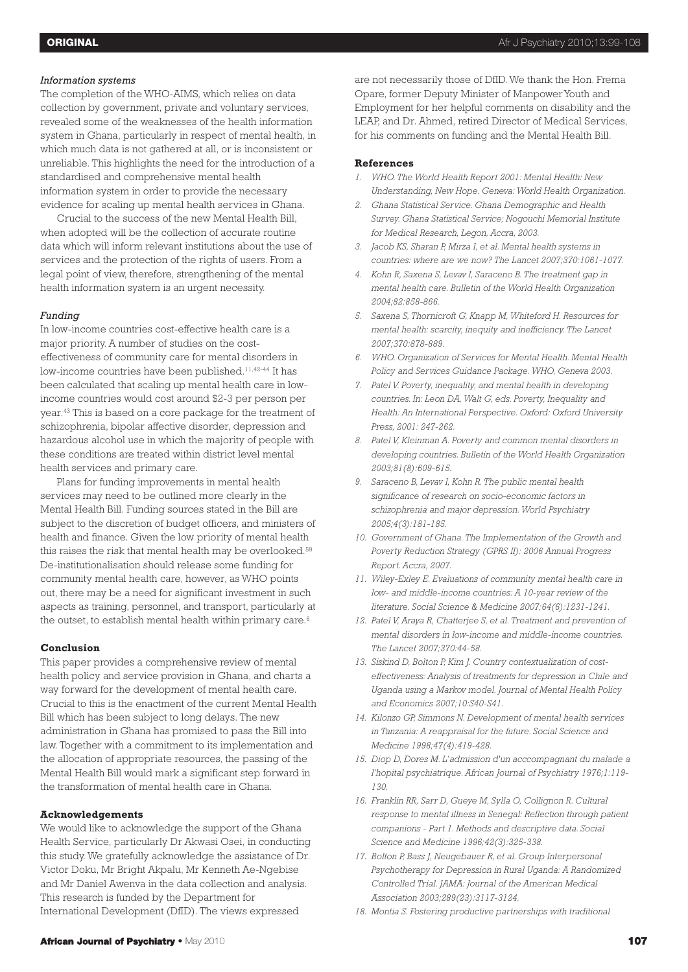## *Information systems*

The completion of the WHO-AIMS, which relies on data collection by government, private and voluntary services, revealed some of the weaknesses of the health information system in Ghana, particularly in respect of mental health, in which much data is not gathered at all, or is inconsistent or unreliable. This highlights the need for the introduction of a standardised and comprehensive mental health information system in order to provide the necessary evidence for scaling up mental health services in Ghana.

Crucial to the success of the new Mental Health Bill, when adopted will be the collection of accurate routine data which will inform relevant institutions about the use of services and the protection of the rights of users. From a legal point of view, therefore, strengthening of the mental health information system is an urgent necessity.

#### *Funding*

In low-income countries cost-effective health care is a major priority. A number of studies on the costeffectiveness of community care for mental disorders in low-income countries have been published. 11,42-44 It has been calculated that scaling up mental health care in lowincome countries would cost around \$2-3 per person per year. <sup>43</sup> This is based on a core package for the treatment of schizophrenia, bipolar affective disorder, depression and hazardous alcohol use in which the majority of people with these conditions are treated within district level mental health services and primary care.

Plans for funding improvements in mental health services may need to be outlined more clearly in the Mental Health Bill. Funding sources stated in the Bill are subject to the discretion of budget officers, and ministers of health and finance. Given the low priority of mental health this raises the risk that mental health may be overlooked. 59 De-institutionalisation should release some funding for community mental health care, however, as WHO points out, there may be a need for significant investment in such aspects as training, personnel, and transport, particularly at the outset, to establish mental health within primary care. 6

## **Conclusion**

This paper provides a comprehensive review of mental health policy and service provision in Ghana, and charts a way forward for the development of mental health care. Crucial to this is the enactment of the current Mental Health Bill which has been subject to long delays. The new administration in Ghana has promised to pass the Bill into law. Together with a commitment to its implementation and the allocation of appropriate resources, the passing of the Mental Health Bill would mark a significant step forward in the transformation of mental health care in Ghana.

## **Acknowledgements**

We would like to acknowledge the support of the Ghana Health Service, particularly Dr Akwasi Osei, in conducting this study. We gratefully acknowledge the assistance of Dr. Victor Doku, Mr Bright Akpalu, Mr Kenneth Ae-Ngebise and Mr Daniel Awenva in the data collection and analysis. This research is funded by the Department for International Development (DfID). The views expressed

are not necessarily those of DfID. We thank the Hon. Frema Opare, former Deputy Minister of ManpowerYouth and Employment for her helpful comments on disability and the LEAP, and Dr. Ahmed, retired Director of Medical Services, for his comments on funding and the Mental Health Bill.

# **References**

- *1. WHO. The World Health Report 2001: Mental Health: New Understanding, New Hope. Geneva: World Health Organization.*
- *2. Ghana Statistical Service. Ghana Demographic and Health Survey. Ghana Statistical Service; Nogouchi Memorial Institute for Medical Research, Legon, Accra, 2003.*
- *3. Jacob KS, Sharan P, Mirza I, et al. Mental health systems in countries: where are we now? The Lancet 2007;370:1061-1077.*
- *4. Kohn R, Saxena S, Levav I, Saraceno B. The treatment gap in mental health care. Bulletin of the World Health Organization 2004;82:858-866.*
- *5. Saxena S, Thornicroft G, Knapp M, Whiteford H. Resources for mental health: scarcity, inequity and inefficiency. The Lancet 2007;370:878-889.*
- *6. WHO. Organization of Services for Mental Health. Mental Health Policy and Services Guidance Package. WHO, Geneva 2003.*
- *7. Patel V. Poverty, inequality, and mental health in developing countries. In: Leon DA, Walt G, eds. Poverty, Inequality and Health: An International Perspective. Oxford: Oxford University Press, 2001: 247-262.*
- *8. Patel V, Kleinman A. Poverty and common mental disorders in developing countries. Bulletin of the World Health Organization 2003;81(8):609-615.*
- *9. Saraceno B, Levav I, Kohn R. The public mental health significance of research on socio-economic factors in schizophrenia and major depression. World Psychiatry 2005;4(3):181-185.*
- *10. Government of Ghana. The Implementation of the Growth and Poverty Reduction Strategy (GPRS II): 2006 Annual Progress Report. Accra, 2007.*
- *11. Wiley-Exley E. Evaluations of community mental health care in low- and middle-income countries: A 10-year review of the literature. Social Science & Medicine 2007;64(6):1231-1241.*
- *12. Patel V, Araya R, Chatterjee S, et al. Treatment and prevention of mental disorders in low-income and middle-income countries. The Lancet 2007;370:44-58.*
- *13. Siskind D, Bolton P, Kim J. Country contextualization of costeffectiveness: Analysis of treatments for depression in Chile and Uganda using a Markov model. Journal of Mental Health Policy and Economics 2007;10:S40-S41.*
- *14. Kilonzo GP, Simmons N. Development of mental health services in Tanzania: A reappraisal for the future. Social Science and Medicine 1998;47(4):419-428.*
- *15. Diop D, Dores M. L'admission d'un acccompagnant du malade a l'hopital psychiatrique. African Journal of Psychiatry 1976;1:119- 130.*
- *16. Franklin RR, Sarr D, Gueye M, Sylla O, Collignon R. Cultural response to mental illness in Senegal: Reflection through patient companions - Part 1. Methods and descriptive data. Social Science and Medicine 1996;42(3):325-338.*
- *17. Bolton P, Bass J, Neugebauer R, et al. Group Interpersonal Psychotherapy for Depression in Rural Uganda: A Randomized Controlled Trial. JAMA: Journal of the American Medical Association 2003;289(23):3117-3124.*
- *18. Montia S. Fostering productive partnerships with traditional*